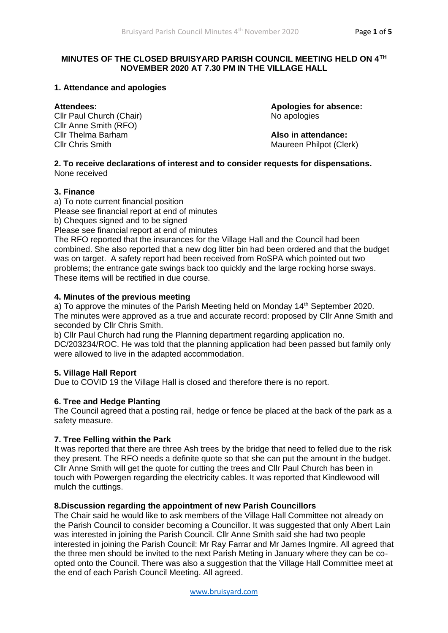# **MINUTES OF THE CLOSED BRUISYARD PARISH COUNCIL MEETING HELD ON 4TH NOVEMBER 2020 AT 7.30 PM IN THE VILLAGE HALL**

# **1. Attendance and apologies**

Cllr Paul Church (Chair) No apologies Cllr Anne Smith (RFO) Cllr Thelma Barham **Also in attendance:** Cllr Chris Smith Maureen Philpot (Clerk)

**Attendees: Apologies for absence:**

#### **2. To receive declarations of interest and to consider requests for dispensations.** None received

# **3. Finance**

a) To note current financial position Please see financial report at end of minutes b) Cheques signed and to be signed

Please see financial report at end of minutes

The RFO reported that the insurances for the Village Hall and the Council had been combined. She also reported that a new dog litter bin had been ordered and that the budget was on target. A safety report had been received from RoSPA which pointed out two problems; the entrance gate swings back too quickly and the large rocking horse sways. These items will be rectified in due course.

# **4. Minutes of the previous meeting**

a) To approve the minutes of the Parish Meeting held on Monday 14<sup>th</sup> September 2020. The minutes were approved as a true and accurate record: proposed by Cllr Anne Smith and seconded by Cllr Chris Smith.

b) Cllr Paul Church had rung the Planning department regarding application no. DC/203234/ROC. He was told that the planning application had been passed but family only were allowed to live in the adapted accommodation.

# **5. Village Hall Report**

Due to COVID 19 the Village Hall is closed and therefore there is no report.

# **6. Tree and Hedge Planting**

The Council agreed that a posting rail, hedge or fence be placed at the back of the park as a safety measure.

# **7. Tree Felling within the Park**

It was reported that there are three Ash trees by the bridge that need to felled due to the risk they present. The RFO needs a definite quote so that she can put the amount in the budget. Cllr Anne Smith will get the quote for cutting the trees and Cllr Paul Church has been in touch with Powergen regarding the electricity cables. It was reported that Kindlewood will mulch the cuttings.

### **8.Discussion regarding the appointment of new Parish Councillors**

The Chair said he would like to ask members of the Village Hall Committee not already on the Parish Council to consider becoming a Councillor. It was suggested that only Albert Lain was interested in joining the Parish Council. Cllr Anne Smith said she had two people interested in joining the Parish Council: Mr Ray Farrar and Mr James Ingmire. All agreed that the three men should be invited to the next Parish Meting in January where they can be coopted onto the Council. There was also a suggestion that the Village Hall Committee meet at the end of each Parish Council Meeting. All agreed.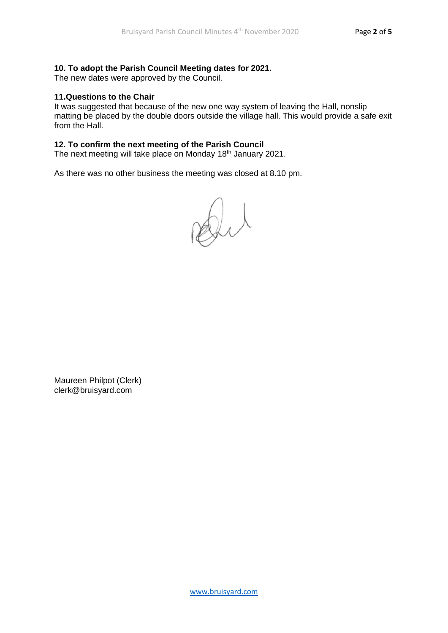# **10. To adopt the Parish Council Meeting dates for 2021.**

The new dates were approved by the Council.

# **11.Questions to the Chair**

It was suggested that because of the new one way system of leaving the Hall, nonslip matting be placed by the double doors outside the village hall. This would provide a safe exit from the Hall.

# **12. To confirm the next meeting of the Parish Council**

The next meeting will take place on Monday 18<sup>th</sup> January 2021.

As there was no other business the meeting was closed at 8.10 pm.

Dit

Maureen Philpot (Clerk) clerk@bruisyard.com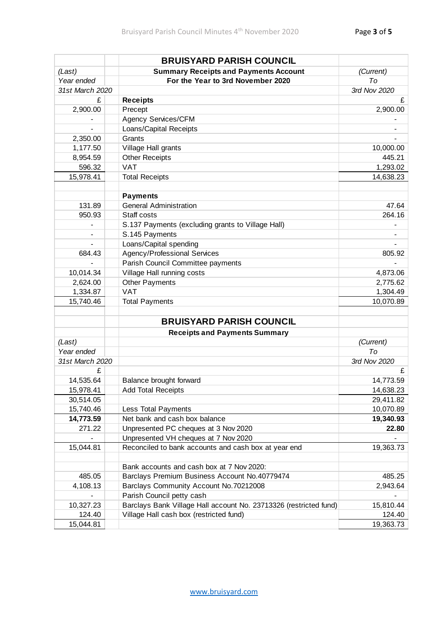|                 | <b>BRUISYARD PARISH COUNCIL</b>                                   |              |
|-----------------|-------------------------------------------------------------------|--------------|
| (Last)          | <b>Summary Receipts and Payments Account</b>                      | (Current)    |
| Year ended      | For the Year to 3rd November 2020                                 | To           |
| 31st March 2020 |                                                                   | 3rd Nov 2020 |
| £               | <b>Receipts</b>                                                   | £            |
| 2,900.00        | Precept                                                           | 2,900.00     |
|                 | Agency Services/CFM                                               |              |
| $\blacksquare$  | Loans/Capital Receipts                                            |              |
| 2,350.00        | Grants                                                            |              |
| 1,177.50        | Village Hall grants                                               | 10,000.00    |
| 8,954.59        | <b>Other Receipts</b>                                             | 445.21       |
| 596.32          | <b>VAT</b>                                                        | 1,293.02     |
| 15,978.41       | <b>Total Receipts</b>                                             | 14,638.23    |
|                 |                                                                   |              |
|                 | <b>Payments</b>                                                   |              |
| 131.89          | <b>General Administration</b>                                     | 47.64        |
| 950.93          | Staff costs                                                       | 264.16       |
|                 | S.137 Payments (excluding grants to Village Hall)                 |              |
|                 | S.145 Payments                                                    |              |
|                 | Loans/Capital spending                                            |              |
| 684.43          | Agency/Professional Services                                      | 805.92       |
|                 | Parish Council Committee payments                                 |              |
| 10,014.34       | Village Hall running costs                                        | 4,873.06     |
| 2,624.00        | <b>Other Payments</b>                                             | 2,775.62     |
| 1,334.87        | <b>VAT</b>                                                        | 1,304.49     |
| 15,740.46       | <b>Total Payments</b>                                             | 10,070.89    |
|                 |                                                                   |              |
|                 | <b>BRUISYARD PARISH COUNCIL</b>                                   |              |
|                 | <b>Receipts and Payments Summary</b>                              |              |
| (Last)          |                                                                   | (Current)    |
| Year ended      |                                                                   | To           |
| 31st March 2020 |                                                                   | 3rd Nov 2020 |
| £               |                                                                   | £            |
| 14,535.64       | Balance brought forward                                           | 14,773.59    |
| 15,978.41       | <b>Add Total Receipts</b>                                         | 14,638.23    |
| 30,514.05       |                                                                   | 29,411.82    |
| 15,740.46       | Less Total Payments                                               | 10,070.89    |
| 14,773.59       | Net bank and cash box balance                                     | 19,340.93    |
| 271.22          | Unpresented PC cheques at 3 Nov 2020                              | 22.80        |
|                 | Unpresented VH cheques at 7 Nov 2020                              |              |
| 15,044.81       | Reconciled to bank accounts and cash box at year end              | 19,363.73    |
|                 | Bank accounts and cash box at 7 Nov 2020:                         |              |
| 485.05          | Barclays Premium Business Account No.40779474                     | 485.25       |
| 4,108.13        | Barclays Community Account No.70212008                            | 2,943.64     |
|                 | Parish Council petty cash                                         |              |
| 10,327.23       | Barclays Bank Village Hall account No. 23713326 (restricted fund) | 15,810.44    |
| 124.40          | Village Hall cash box (restricted fund)                           | 124.40       |
| 15,044.81       |                                                                   | 19,363.73    |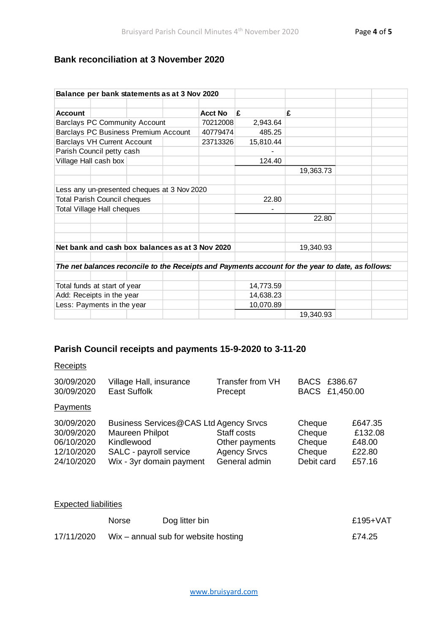# **Bank reconciliation at 3 November 2020**

| Balance per bank statements as at 3 Nov 2020                                                      |                                     |                                                 |  |           |           |           |  |  |
|---------------------------------------------------------------------------------------------------|-------------------------------------|-------------------------------------------------|--|-----------|-----------|-----------|--|--|
|                                                                                                   |                                     |                                                 |  |           |           |           |  |  |
| <b>Account</b>                                                                                    |                                     |                                                 |  | Acct No   | £         | £         |  |  |
|                                                                                                   |                                     | <b>Barclays PC Community Account</b>            |  | 70212008  | 2,943.64  |           |  |  |
|                                                                                                   |                                     | Barclays PC Business Premium Account            |  | 40779474  | 485.25    |           |  |  |
|                                                                                                   | <b>Barclays VH Current Account</b>  |                                                 |  | 23713326  | 15,810.44 |           |  |  |
|                                                                                                   | Parish Council petty cash           |                                                 |  |           |           |           |  |  |
|                                                                                                   | Village Hall cash box               |                                                 |  |           | 124.40    |           |  |  |
|                                                                                                   |                                     |                                                 |  |           |           | 19,363.73 |  |  |
|                                                                                                   |                                     |                                                 |  |           |           |           |  |  |
|                                                                                                   |                                     | Less any un-presented cheques at 3 Nov 2020     |  |           |           |           |  |  |
|                                                                                                   | <b>Total Parish Council cheques</b> |                                                 |  |           | 22.80     |           |  |  |
|                                                                                                   | Total Village Hall cheques          |                                                 |  |           |           |           |  |  |
|                                                                                                   |                                     |                                                 |  | 22.80     |           |           |  |  |
|                                                                                                   |                                     |                                                 |  |           |           |           |  |  |
|                                                                                                   |                                     |                                                 |  |           |           |           |  |  |
|                                                                                                   |                                     | Net bank and cash box balances as at 3 Nov 2020 |  |           |           | 19,340.93 |  |  |
|                                                                                                   |                                     |                                                 |  |           |           |           |  |  |
| The net balances reconcile to the Receipts and Payments account for the year to date, as follows: |                                     |                                                 |  |           |           |           |  |  |
|                                                                                                   | Total funds at start of year        |                                                 |  |           | 14,773.59 |           |  |  |
| Add: Receipts in the year                                                                         |                                     |                                                 |  | 14,638.23 |           |           |  |  |
| Less: Payments in the year                                                                        |                                     |                                                 |  | 10,070.89 |           |           |  |  |
|                                                                                                   |                                     |                                                 |  |           |           | 19,340.93 |  |  |

# **Parish Council receipts and payments 15-9-2020 to 3-11-20**

### **Receipts**

| 30/09/2020<br>30/09/2020                             | Village Hall, insurance<br><b>East Suffolk</b>                                                    | <b>Transfer from VH</b><br>Precept                   | BACS £386.67<br>BACS £1,450.00       |                                        |
|------------------------------------------------------|---------------------------------------------------------------------------------------------------|------------------------------------------------------|--------------------------------------|----------------------------------------|
| Payments                                             |                                                                                                   |                                                      |                                      |                                        |
| 30/09/2020<br>30/09/2020<br>06/10/2020<br>12/10/2020 | Business Services@CAS Ltd Agency Srvcs<br>Maureen Philpot<br>Kindlewood<br>SALC - payroll service | Staff costs<br>Other payments<br><b>Agency Srvcs</b> | Cheque<br>Cheque<br>Cheque<br>Cheque | £647.35<br>£132.08<br>£48.00<br>£22.80 |
| 24/10/2020                                           | Wix - 3yr domain payment                                                                          | General admin                                        | Debit card                           | £57.16                                 |

| <b>Expected liabilities</b> |       |                                        |             |  |  |  |
|-----------------------------|-------|----------------------------------------|-------------|--|--|--|
|                             | Norse | Dog litter bin                         | £195+ $VAT$ |  |  |  |
| 17/11/2020                  |       | $Wix - annual sub for website$ hosting | £74.25      |  |  |  |